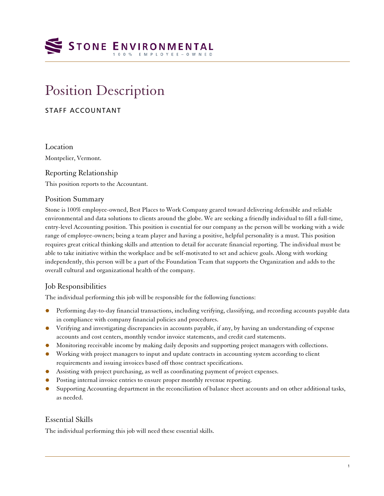# **STONE ENVIRONMENTAL**

# Position Description

# STAFF ACCOUNTANT

Location Montpelier, Vermont.

# Reporting Relationship

This position reports to the Accountant.

#### Position Summary

Stone is 100% employee-owned, Best Places to Work Company geared toward delivering defensible and reliable environmental and data solutions to clients around the globe. We are seeking a friendly individual to fill a full-time, entry-level Accounting position. This position is essential for our company as the person will be working with a wide range of employee-owners; being a team player and having a positive, helpful personality is a must. This position requires great critical thinking skills and attention to detail for accurate financial reporting. The individual must be able to take initiative within the workplace and be self-motivated to set and achieve goals. Along with working independently, this person will be a part of the Foundation Team that supports the Organization and adds to the overall cultural and organizational health of the company.

## Job Responsibilities

The individual performing this job will be responsible for the following functions:

- Performing day-to-day financial transactions, including verifying, classifying, and recording accounts payable data in compliance with company financial policies and procedures.
- Verifying and investigating discrepancies in accounts payable, if any, by having an understanding of expense accounts and cost centers, monthly vendor invoice statements, and credit card statements.
- Monitoring receivable income by making daily deposits and supporting project managers with collections.
- Working with project managers to input and update contracts in accounting system according to client requirements and issuing invoices based off those contract specifications.
- Assisting with project purchasing, as well as coordinating payment of project expenses.
- Posting internal invoice entries to ensure proper monthly revenue reporting.
- Supporting Accounting department in the reconciliation of balance sheet accounts and on other additional tasks, as needed.

## Essential Skills

The individual performing this job will need these essential skills.